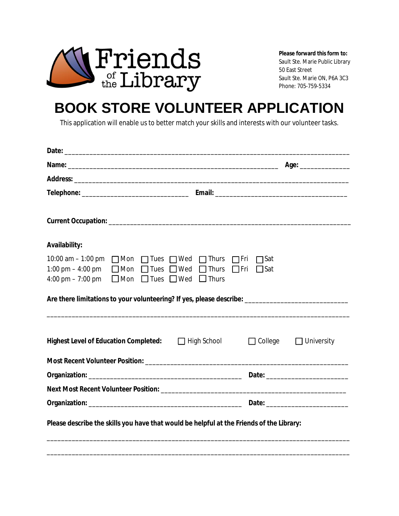

**Please forward this form to:**

Sault Ste. Marie Public Library 50 East Street Sault Ste. Marie ON, P6A 3C3 Phone: 705-759-5334

## **BOOK STORE VOLUNTEER APPLICATION**

This application will enable us to better match your skills and interests with our volunteer tasks.

|                                                                                                                                                     |                                                           |                            | Age: ________________ |
|-----------------------------------------------------------------------------------------------------------------------------------------------------|-----------------------------------------------------------|----------------------------|-----------------------|
|                                                                                                                                                     |                                                           |                            |                       |
|                                                                                                                                                     |                                                           |                            |                       |
|                                                                                                                                                     |                                                           |                            |                       |
| <b>Availability:</b>                                                                                                                                |                                                           |                            |                       |
| 10:00 am – 1:00 pm □ Mon □ Tues □ Wed □ Thurs □ Fri<br>1:00 pm $-$ 4:00 pm<br>$\Box$ Mon $\Box$ Tues $\Box$ Wed $\Box$ Thurs<br>4:00 pm $- 7:00$ pm | $\Box$ Mon $\Box$ Tues $\Box$ Wed $\Box$ Thurs $\Box$ Fri | <b>T</b> Sat<br>$\Box$ Sat |                       |
| Are there limitations to your volunteering? If yes, please describe: ______________________________                                                 |                                                           |                            |                       |
| <b>Highest Level of Education Completed:</b>                                                                                                        | $\Box$ High School                                        | $\Box$ College             | $\Box$ University     |
|                                                                                                                                                     |                                                           |                            |                       |
|                                                                                                                                                     |                                                           |                            |                       |
|                                                                                                                                                     |                                                           |                            |                       |
|                                                                                                                                                     |                                                           |                            |                       |

\_\_\_\_\_\_\_\_\_\_\_\_\_\_\_\_\_\_\_\_\_\_\_\_\_\_\_\_\_\_\_\_\_\_\_\_\_\_\_\_\_\_\_\_\_\_\_\_\_\_\_\_\_\_\_\_\_\_\_\_\_\_\_\_\_\_\_\_\_\_\_\_\_\_\_\_\_\_\_\_\_\_\_\_\_